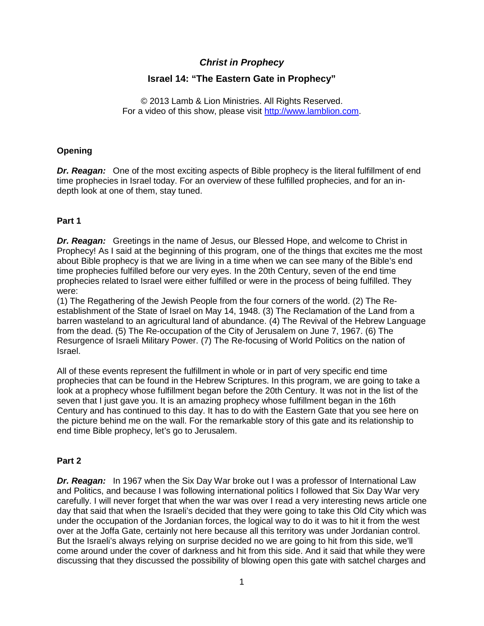# *Christ in Prophecy*

# **Israel 14: "The Eastern Gate in Prophecy"**

© 2013 Lamb & Lion Ministries. All Rights Reserved. For a video of this show, please visit [http://www.lamblion.com.](http://www.lamblion.com/)

### **Opening**

**Dr. Reagan:** One of the most exciting aspects of Bible prophecy is the literal fulfillment of end time prophecies in Israel today. For an overview of these fulfilled prophecies, and for an indepth look at one of them, stay tuned.

### **Part 1**

*Dr. Reagan:* Greetings in the name of Jesus, our Blessed Hope, and welcome to Christ in Prophecy! As I said at the beginning of this program, one of the things that excites me the most about Bible prophecy is that we are living in a time when we can see many of the Bible's end time prophecies fulfilled before our very eyes. In the 20th Century, seven of the end time prophecies related to Israel were either fulfilled or were in the process of being fulfilled. They were:

(1) The Regathering of the Jewish People from the four corners of the world. (2) The Reestablishment of the State of Israel on May 14, 1948. (3) The Reclamation of the Land from a barren wasteland to an agricultural land of abundance. (4) The Revival of the Hebrew Language from the dead. (5) The Re-occupation of the City of Jerusalem on June 7, 1967. (6) The Resurgence of Israeli Military Power. (7) The Re-focusing of World Politics on the nation of Israel.

All of these events represent the fulfillment in whole or in part of very specific end time prophecies that can be found in the Hebrew Scriptures. In this program, we are going to take a look at a prophecy whose fulfillment began before the 20th Century. It was not in the list of the seven that I just gave you. It is an amazing prophecy whose fulfillment began in the 16th Century and has continued to this day. It has to do with the Eastern Gate that you see here on the picture behind me on the wall. For the remarkable story of this gate and its relationship to end time Bible prophecy, let's go to Jerusalem.

## **Part 2**

*Dr. Reagan:* In 1967 when the Six Day War broke out I was a professor of International Law and Politics, and because I was following international politics I followed that Six Day War very carefully. I will never forget that when the war was over I read a very interesting news article one day that said that when the Israeli's decided that they were going to take this Old City which was under the occupation of the Jordanian forces, the logical way to do it was to hit it from the west over at the Joffa Gate, certainly not here because all this territory was under Jordanian control. But the Israeli's always relying on surprise decided no we are going to hit from this side, we'll come around under the cover of darkness and hit from this side. And it said that while they were discussing that they discussed the possibility of blowing open this gate with satchel charges and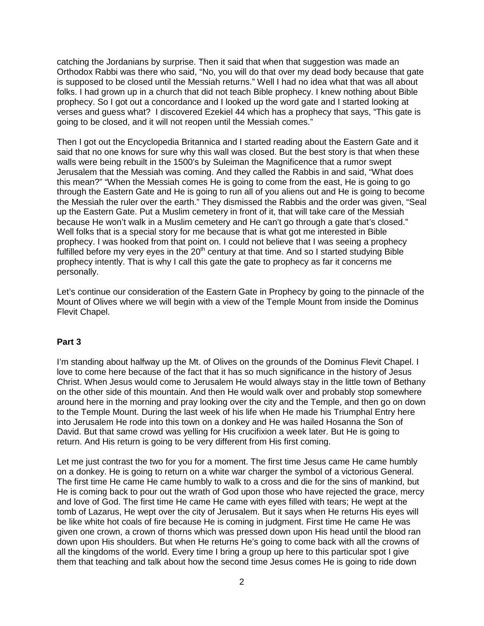catching the Jordanians by surprise. Then it said that when that suggestion was made an Orthodox Rabbi was there who said, "No, you will do that over my dead body because that gate is supposed to be closed until the Messiah returns." Well I had no idea what that was all about folks. I had grown up in a church that did not teach Bible prophecy. I knew nothing about Bible prophecy. So I got out a concordance and I looked up the word gate and I started looking at verses and guess what? I discovered Ezekiel 44 which has a prophecy that says, "This gate is going to be closed, and it will not reopen until the Messiah comes."

Then I got out the Encyclopedia Britannica and I started reading about the Eastern Gate and it said that no one knows for sure why this wall was closed. But the best story is that when these walls were being rebuilt in the 1500's by Suleiman the Magnificence that a rumor swept Jerusalem that the Messiah was coming. And they called the Rabbis in and said, "What does this mean?" "When the Messiah comes He is going to come from the east, He is going to go through the Eastern Gate and He is going to run all of you aliens out and He is going to become the Messiah the ruler over the earth." They dismissed the Rabbis and the order was given, "Seal up the Eastern Gate. Put a Muslim cemetery in front of it, that will take care of the Messiah because He won't walk in a Muslim cemetery and He can't go through a gate that's closed." Well folks that is a special story for me because that is what got me interested in Bible prophecy. I was hooked from that point on. I could not believe that I was seeing a prophecy fulfilled before my very eyes in the  $20<sup>th</sup>$  century at that time. And so I started studying Bible prophecy intently. That is why I call this gate the gate to prophecy as far it concerns me personally.

Let's continue our consideration of the Eastern Gate in Prophecy by going to the pinnacle of the Mount of Olives where we will begin with a view of the Temple Mount from inside the Dominus Flevit Chapel.

#### **Part 3**

I'm standing about halfway up the Mt. of Olives on the grounds of the Dominus Flevit Chapel. I love to come here because of the fact that it has so much significance in the history of Jesus Christ. When Jesus would come to Jerusalem He would always stay in the little town of Bethany on the other side of this mountain. And then He would walk over and probably stop somewhere around here in the morning and pray looking over the city and the Temple, and then go on down to the Temple Mount. During the last week of his life when He made his Triumphal Entry here into Jerusalem He rode into this town on a donkey and He was hailed Hosanna the Son of David. But that same crowd was yelling for His crucifixion a week later. But He is going to return. And His return is going to be very different from His first coming.

Let me just contrast the two for you for a moment. The first time Jesus came He came humbly on a donkey. He is going to return on a white war charger the symbol of a victorious General. The first time He came He came humbly to walk to a cross and die for the sins of mankind, but He is coming back to pour out the wrath of God upon those who have rejected the grace, mercy and love of God. The first time He came He came with eyes filled with tears; He wept at the tomb of Lazarus, He wept over the city of Jerusalem. But it says when He returns His eyes will be like white hot coals of fire because He is coming in judgment. First time He came He was given one crown, a crown of thorns which was pressed down upon His head until the blood ran down upon His shoulders. But when He returns He's going to come back with all the crowns of all the kingdoms of the world. Every time I bring a group up here to this particular spot I give them that teaching and talk about how the second time Jesus comes He is going to ride down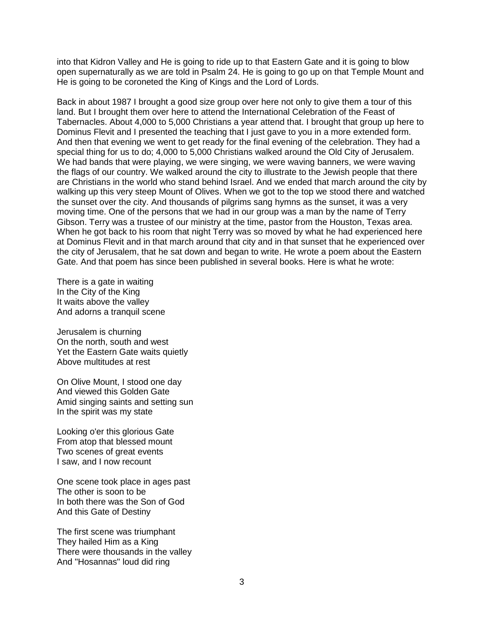into that Kidron Valley and He is going to ride up to that Eastern Gate and it is going to blow open supernaturally as we are told in Psalm 24. He is going to go up on that Temple Mount and He is going to be coroneted the King of Kings and the Lord of Lords.

Back in about 1987 I brought a good size group over here not only to give them a tour of this land. But I brought them over here to attend the International Celebration of the Feast of Tabernacles. About 4,000 to 5,000 Christians a year attend that. I brought that group up here to Dominus Flevit and I presented the teaching that I just gave to you in a more extended form. And then that evening we went to get ready for the final evening of the celebration. They had a special thing for us to do; 4,000 to 5,000 Christians walked around the Old City of Jerusalem. We had bands that were playing, we were singing, we were waving banners, we were waving the flags of our country. We walked around the city to illustrate to the Jewish people that there are Christians in the world who stand behind Israel. And we ended that march around the city by walking up this very steep Mount of Olives. When we got to the top we stood there and watched the sunset over the city. And thousands of pilgrims sang hymns as the sunset, it was a very moving time. One of the persons that we had in our group was a man by the name of Terry Gibson. Terry was a trustee of our ministry at the time, pastor from the Houston, Texas area. When he got back to his room that night Terry was so moved by what he had experienced here at Dominus Flevit and in that march around that city and in that sunset that he experienced over the city of Jerusalem, that he sat down and began to write. He wrote a poem about the Eastern Gate. And that poem has since been published in several books. Here is what he wrote:

There is a gate in waiting In the City of the King It waits above the valley And adorns a tranquil scene

Jerusalem is churning On the north, south and west Yet the Eastern Gate waits quietly Above multitudes at rest

On Olive Mount, I stood one day And viewed this Golden Gate Amid singing saints and setting sun In the spirit was my state

Looking o'er this glorious Gate From atop that blessed mount Two scenes of great events I saw, and I now recount

One scene took place in ages past The other is soon to be In both there was the Son of God And this Gate of Destiny

The first scene was triumphant They hailed Him as a King There were thousands in the valley And "Hosannas" loud did ring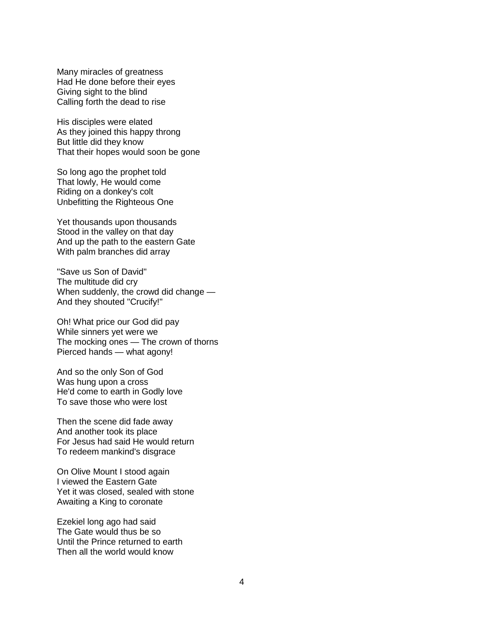Many miracles of greatness Had He done before their eyes Giving sight to the blind Calling forth the dead to rise

His disciples were elated As they joined this happy throng But little did they know That their hopes would soon be gone

So long ago the prophet told That lowly, He would come Riding on a donkey's colt Unbefitting the Righteous One

Yet thousands upon thousands Stood in the valley on that day And up the path to the eastern Gate With palm branches did array

"Save us Son of David" The multitude did cry When suddenly, the crowd did change — And they shouted "Crucify!"

Oh! What price our God did pay While sinners yet were we The mocking ones — The crown of thorns Pierced hands — what agony!

And so the only Son of God Was hung upon a cross He'd come to earth in Godly love To save those who were lost

Then the scene did fade away And another took its place For Jesus had said He would return To redeem mankind's disgrace

On Olive Mount I stood again I viewed the Eastern Gate Yet it was closed, sealed with stone Awaiting a King to coronate

Ezekiel long ago had said The Gate would thus be so Until the Prince returned to earth Then all the world would know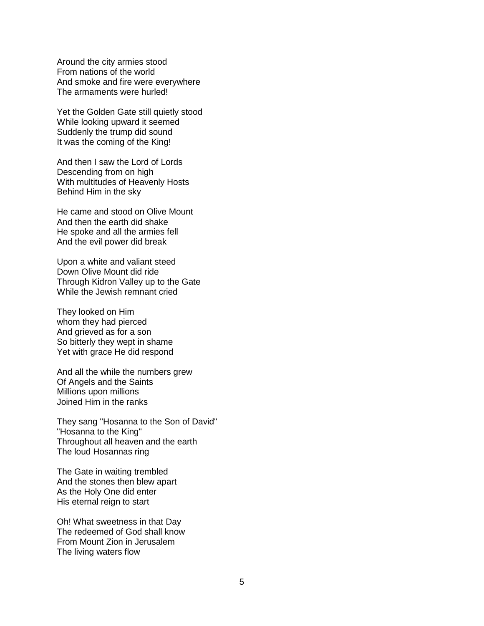Around the city armies stood From nations of the world And smoke and fire were everywhere The armaments were hurled!

Yet the Golden Gate still quietly stood While looking upward it seemed Suddenly the trump did sound It was the coming of the King!

And then I saw the Lord of Lords Descending from on high With multitudes of Heavenly Hosts Behind Him in the sky

He came and stood on Olive Mount And then the earth did shake He spoke and all the armies fell And the evil power did break

Upon a white and valiant steed Down Olive Mount did ride Through Kidron Valley up to the Gate While the Jewish remnant cried

They looked on Him whom they had pierced And grieved as for a son So bitterly they wept in shame Yet with grace He did respond

And all the while the numbers grew Of Angels and the Saints Millions upon millions Joined Him in the ranks

They sang "Hosanna to the Son of David" "Hosanna to the King" Throughout all heaven and the earth The loud Hosannas ring

The Gate in waiting trembled And the stones then blew apart As the Holy One did enter His eternal reign to start

Oh! What sweetness in that Day The redeemed of God shall know From Mount Zion in Jerusalem The living waters flow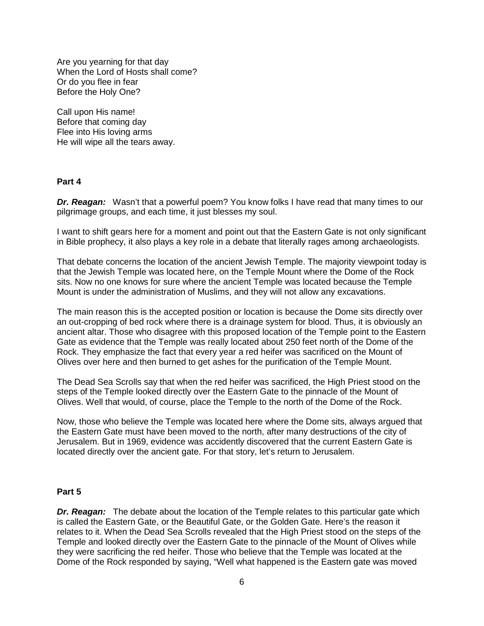Are you yearning for that day When the Lord of Hosts shall come? Or do you flee in fear Before the Holy One?

Call upon His name! Before that coming day Flee into His loving arms He will wipe all the tears away.

#### **Part 4**

**Dr. Reagan:** Wasn't that a powerful poem? You know folks I have read that many times to our pilgrimage groups, and each time, it just blesses my soul.

I want to shift gears here for a moment and point out that the Eastern Gate is not only significant in Bible prophecy, it also plays a key role in a debate that literally rages among archaeologists.

That debate concerns the location of the ancient Jewish Temple. The majority viewpoint today is that the Jewish Temple was located here, on the Temple Mount where the Dome of the Rock sits. Now no one knows for sure where the ancient Temple was located because the Temple Mount is under the administration of Muslims, and they will not allow any excavations.

The main reason this is the accepted position or location is because the Dome sits directly over an out-cropping of bed rock where there is a drainage system for blood. Thus, it is obviously an ancient altar. Those who disagree with this proposed location of the Temple point to the Eastern Gate as evidence that the Temple was really located about 250 feet north of the Dome of the Rock. They emphasize the fact that every year a red heifer was sacrificed on the Mount of Olives over here and then burned to get ashes for the purification of the Temple Mount.

The Dead Sea Scrolls say that when the red heifer was sacrificed, the High Priest stood on the steps of the Temple looked directly over the Eastern Gate to the pinnacle of the Mount of Olives. Well that would, of course, place the Temple to the north of the Dome of the Rock.

Now, those who believe the Temple was located here where the Dome sits, always argued that the Eastern Gate must have been moved to the north, after many destructions of the city of Jerusalem. But in 1969, evidence was accidently discovered that the current Eastern Gate is located directly over the ancient gate. For that story, let's return to Jerusalem.

#### **Part 5**

**Dr. Reagan:** The debate about the location of the Temple relates to this particular gate which is called the Eastern Gate, or the Beautiful Gate, or the Golden Gate. Here's the reason it relates to it. When the Dead Sea Scrolls revealed that the High Priest stood on the steps of the Temple and looked directly over the Eastern Gate to the pinnacle of the Mount of Olives while they were sacrificing the red heifer. Those who believe that the Temple was located at the Dome of the Rock responded by saying, "Well what happened is the Eastern gate was moved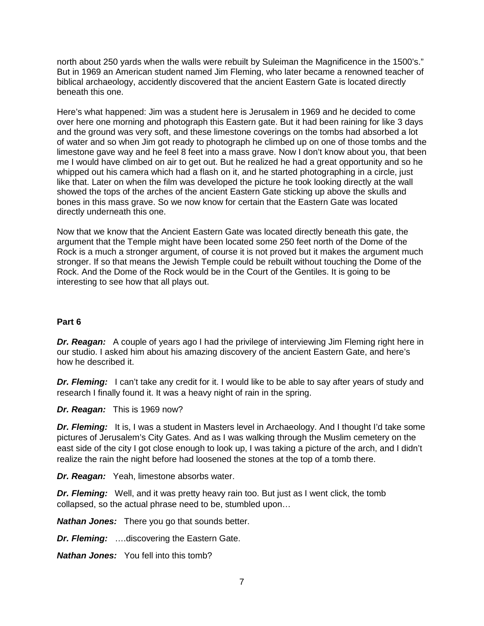north about 250 yards when the walls were rebuilt by Suleiman the Magnificence in the 1500's." But in 1969 an American student named Jim Fleming, who later became a renowned teacher of biblical archaeology, accidently discovered that the ancient Eastern Gate is located directly beneath this one.

Here's what happened: Jim was a student here is Jerusalem in 1969 and he decided to come over here one morning and photograph this Eastern gate. But it had been raining for like 3 days and the ground was very soft, and these limestone coverings on the tombs had absorbed a lot of water and so when Jim got ready to photograph he climbed up on one of those tombs and the limestone gave way and he feel 8 feet into a mass grave. Now I don't know about you, that been me I would have climbed on air to get out. But he realized he had a great opportunity and so he whipped out his camera which had a flash on it, and he started photographing in a circle, just like that. Later on when the film was developed the picture he took looking directly at the wall showed the tops of the arches of the ancient Eastern Gate sticking up above the skulls and bones in this mass grave. So we now know for certain that the Eastern Gate was located directly underneath this one.

Now that we know that the Ancient Eastern Gate was located directly beneath this gate, the argument that the Temple might have been located some 250 feet north of the Dome of the Rock is a much a stronger argument, of course it is not proved but it makes the argument much stronger. If so that means the Jewish Temple could be rebuilt without touching the Dome of the Rock. And the Dome of the Rock would be in the Court of the Gentiles. It is going to be interesting to see how that all plays out.

#### **Part 6**

**Dr. Reagan:** A couple of years ago I had the privilege of interviewing Jim Fleming right here in our studio. I asked him about his amazing discovery of the ancient Eastern Gate, and here's how he described it.

**Dr. Fleming:** I can't take any credit for it. I would like to be able to say after years of study and research I finally found it. It was a heavy night of rain in the spring.

*Dr. Reagan:* This is 1969 now?

*Dr. Fleming:* It is, I was a student in Masters level in Archaeology. And I thought I'd take some pictures of Jerusalem's City Gates. And as I was walking through the Muslim cemetery on the east side of the city I got close enough to look up, I was taking a picture of the arch, and I didn't realize the rain the night before had loosened the stones at the top of a tomb there.

*Dr. Reagan:* Yeah, limestone absorbs water.

*Dr. Fleming:* Well, and it was pretty heavy rain too. But just as I went click, the tomb collapsed, so the actual phrase need to be, stumbled upon…

*Nathan Jones:* There you go that sounds better.

*Dr. Fleming:* ….discovering the Eastern Gate.

*Nathan Jones:* You fell into this tomb?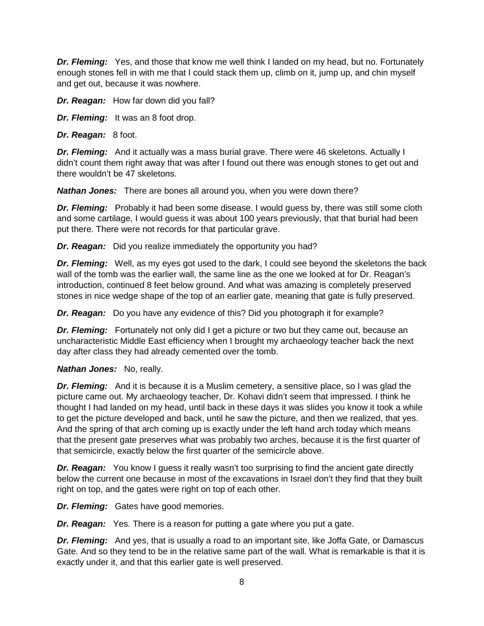*Dr. Fleming:* Yes, and those that know me well think I landed on my head, but no. Fortunately enough stones fell in with me that I could stack them up, climb on it, jump up, and chin myself and get out, because it was nowhere.

*Dr. Reagan:* How far down did you fall?

*Dr. Fleming:* It was an 8 foot drop.

*Dr. Reagan:* 8 foot.

**Dr. Fleming:** And it actually was a mass burial grave. There were 46 skeletons. Actually I didn't count them right away that was after I found out there was enough stones to get out and there wouldn't be 47 skeletons.

*Nathan Jones:* There are bones all around you, when you were down there?

**Dr. Fleming:** Probably it had been some disease. I would guess by, there was still some cloth and some cartilage, I would guess it was about 100 years previously, that that burial had been put there. There were not records for that particular grave.

*Dr. Reagan:* Did you realize immediately the opportunity you had?

*Dr. Fleming:* Well, as my eyes got used to the dark, I could see beyond the skeletons the back wall of the tomb was the earlier wall, the same line as the one we looked at for Dr. Reagan's introduction, continued 8 feet below ground. And what was amazing is completely preserved stones in nice wedge shape of the top of an earlier gate, meaning that gate is fully preserved.

*Dr. Reagan:* Do you have any evidence of this? Did you photograph it for example?

**Dr. Fleming:** Fortunately not only did I get a picture or two but they came out, because an uncharacteristic Middle East efficiency when I brought my archaeology teacher back the next day after class they had already cemented over the tomb.

## *Nathan Jones:* No, really.

*Dr. Fleming:* And it is because it is a Muslim cemetery, a sensitive place, so I was glad the picture came out. My archaeology teacher, Dr. Kohavi didn't seem that impressed. I think he thought I had landed on my head, until back in these days it was slides you know it took a while to get the picture developed and back, until he saw the picture, and then we realized, that yes. And the spring of that arch coming up is exactly under the left hand arch today which means that the present gate preserves what was probably two arches, because it is the first quarter of that semicircle, exactly below the first quarter of the semicircle above.

**Dr. Reagan:** You know I guess it really wasn't too surprising to find the ancient gate directly below the current one because in most of the excavations in Israel don't they find that they built right on top, and the gates were right on top of each other.

*Dr. Fleming:* Gates have good memories.

*Dr. Reagan:* Yes. There is a reason for putting a gate where you put a gate.

*Dr. Fleming:* And yes, that is usually a road to an important site, like Joffa Gate, or Damascus Gate. And so they tend to be in the relative same part of the wall. What is remarkable is that it is exactly under it, and that this earlier gate is well preserved.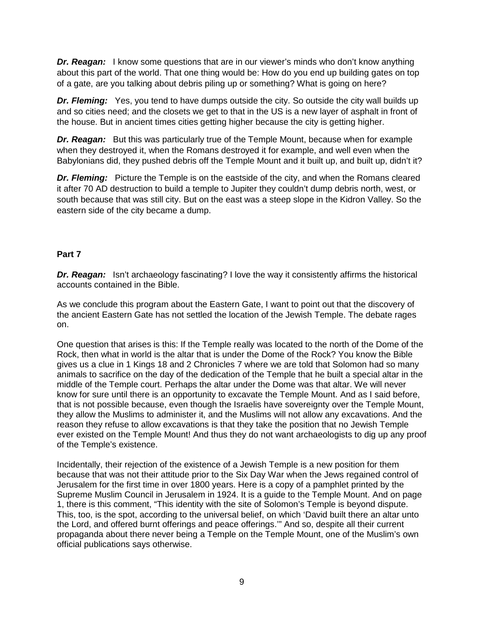*Dr. Reagan:* I know some questions that are in our viewer's minds who don't know anything about this part of the world. That one thing would be: How do you end up building gates on top of a gate, are you talking about debris piling up or something? What is going on here?

*Dr. Fleming:* Yes, you tend to have dumps outside the city. So outside the city wall builds up and so cities need; and the closets we get to that in the US is a new layer of asphalt in front of the house. But in ancient times cities getting higher because the city is getting higher.

*Dr. Reagan:* But this was particularly true of the Temple Mount, because when for example when they destroyed it, when the Romans destroyed it for example, and well even when the Babylonians did, they pushed debris off the Temple Mount and it built up, and built up, didn't it?

**Dr. Fleming:** Picture the Temple is on the eastside of the city, and when the Romans cleared it after 70 AD destruction to build a temple to Jupiter they couldn't dump debris north, west, or south because that was still city. But on the east was a steep slope in the Kidron Valley. So the eastern side of the city became a dump.

## **Part 7**

*Dr. Reagan:* Isn't archaeology fascinating? I love the way it consistently affirms the historical accounts contained in the Bible.

As we conclude this program about the Eastern Gate, I want to point out that the discovery of the ancient Eastern Gate has not settled the location of the Jewish Temple. The debate rages on.

One question that arises is this: If the Temple really was located to the north of the Dome of the Rock, then what in world is the altar that is under the Dome of the Rock? You know the Bible gives us a clue in 1 Kings 18 and 2 Chronicles 7 where we are told that Solomon had so many animals to sacrifice on the day of the dedication of the Temple that he built a special altar in the middle of the Temple court. Perhaps the altar under the Dome was that altar. We will never know for sure until there is an opportunity to excavate the Temple Mount. And as I said before, that is not possible because, even though the Israelis have sovereignty over the Temple Mount, they allow the Muslims to administer it, and the Muslims will not allow any excavations. And the reason they refuse to allow excavations is that they take the position that no Jewish Temple ever existed on the Temple Mount! And thus they do not want archaeologists to dig up any proof of the Temple's existence.

Incidentally, their rejection of the existence of a Jewish Temple is a new position for them because that was not their attitude prior to the Six Day War when the Jews regained control of Jerusalem for the first time in over 1800 years. Here is a copy of a pamphlet printed by the Supreme Muslim Council in Jerusalem in 1924. It is a guide to the Temple Mount. And on page 1, there is this comment, "This identity with the site of Solomon's Temple is beyond dispute. This, too, is the spot, according to the universal belief, on which 'David built there an altar unto the Lord, and offered burnt offerings and peace offerings.'" And so, despite all their current propaganda about there never being a Temple on the Temple Mount, one of the Muslim's own official publications says otherwise.